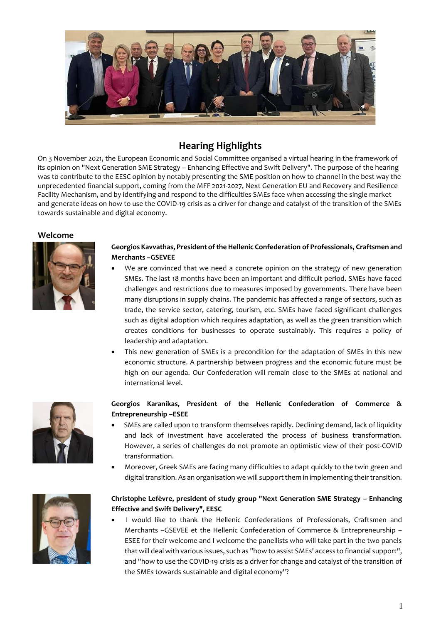

# **Hearing Highlights**

On 3 November 2021, the European Economic and Social Committee organised a virtual hearing in the framework of its opinion on "Next Generation SME Strategy – Enhancing Effective and Swift Delivery". The purpose of the hearing was to contribute to the EESC opinion by notably presenting the SME position on how to channel in the best way the unprecedented financial support, coming from the MFF 2021-2027, Next Generation EU and Recovery and Resilience Facility Mechanism, and by identifying and respond to the difficulties SMEs face when accessing the single market and generate ideas on how to use the COVID-19 crisis as a driver for change and catalyst of the transition of the SMEs towards sustainable and digital economy.

**Welcome**



#### **Georgios Kavvathas, President of the Hellenic Confederation of Professionals, Craftsmen and Merchants –GSEVEE**

- We are convinced that we need a concrete opinion on the strategy of new generation SMEs. The last 18 months have been an important and difficult period. SMEs have faced challenges and restrictions due to measures imposed by governments. There have been many disruptions in supply chains. The pandemic has affected a range of sectors, such as trade, the service sector, catering, tourism, etc. SMEs have faced significant challenges such as digital adoption which requires adaptation, as well as the green transition which creates conditions for businesses to operate sustainably. This requires a policy of leadership and adaptation.
- This new generation of SMEs is a precondition for the adaptation of SMEs in this new economic structure. A partnership between progress and the economic future must be high on our agenda. Our Confederation will remain close to the SMEs at national and international level.



#### **Georgios Karanikas, President of the Hellenic Confederation of Commerce & Entrepreneurship –ESEE**

- SMEs are called upon to transform themselves rapidly. Declining demand, lack of liquidity and lack of investment have accelerated the process of business transformation. However, a series of challenges do not promote an optimistic view of their post-COVID transformation.
- Moreover, Greek SMEs are facing many difficulties to adapt quickly to the twin green and digital transition. As an organisation we will support them in implementing their transition.

# **Christophe Lefèvre, president of study group "Next Generation SME Strategy – Enhancing Effective and Swift Delivery", EESC**

 I would like to thank the Hellenic Confederations of Professionals, Craftsmen and Merchants –GSEVEE et the Hellenic Confederation of Commerce & Entrepreneurship – ESEE for their welcome and I welcome the panellists who will take part in the two panels that will deal with various issues, such as "how to assist SMEs' access to financial support", and "how to use the COVID-19 crisis as a driver for change and catalyst of the transition of the SMEs towards sustainable and digital economy"?

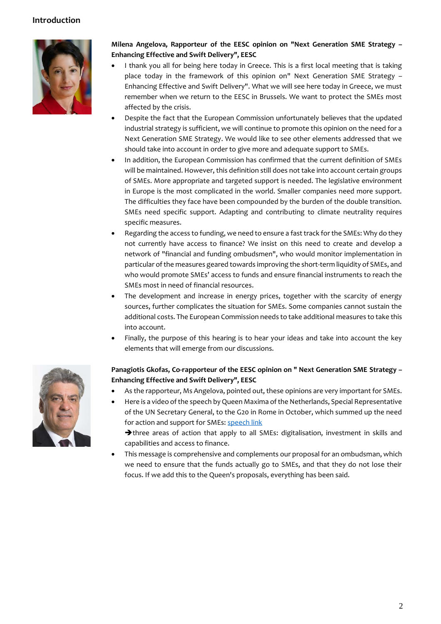# **Introduction**



# **Milena Angelova, Rapporteur of the EESC opinion on "Next Generation SME Strategy – Enhancing Effective and Swift Delivery", EESC**

- I thank you all for being here today in Greece. This is a first local meeting that is taking place today in the framework of this opinion on" Next Generation SME Strategy – Enhancing Effective and Swift Delivery". What we will see here today in Greece, we must remember when we return to the EESC in Brussels. We want to protect the SMEs most affected by the crisis.
- Despite the fact that the European Commission unfortunately believes that the updated industrial strategy is sufficient, we will continue to promote this opinion on the need for a Next Generation SME Strategy. We would like to see other elements addressed that we should take into account in order to give more and adequate support to SMEs.
- In addition, the European Commission has confirmed that the current definition of SMEs will be maintained. However, this definition still does not take into account certain groups of SMEs. More appropriate and targeted support is needed. The legislative environment in Europe is the most complicated in the world. Smaller companies need more support. The difficulties they face have been compounded by the burden of the double transition. SMEs need specific support. Adapting and contributing to climate neutrality requires specific measures.
- Regarding the access to funding, we need to ensure a fast track for the SMEs: Why do they not currently have access to finance? We insist on this need to create and develop a network of "financial and funding ombudsmen", who would monitor implementation in particular of the measures geared towards improving the short-term liquidity of SMEs, and who would promote SMEs' access to funds and ensure financial instruments to reach the SMEs most in need of financial resources.
- The development and increase in energy prices, together with the scarcity of energy sources, further complicates the situation for SMEs. Some companies cannot sustain the additional costs. The European Commission needs to take additional measures to take this into account.
- Finally, the purpose of this hearing is to hear your ideas and take into account the key elements that will emerge from our discussions.



# **Panagiotis Gkofas, Co-rapporteur of the EESC opinion on " Next Generation SME Strategy – Enhancing Effective and Swift Delivery", EESC**

- As the rapporteur, Ms Angelova, pointed out, these opinions are very important for SMEs.
- Here is a video of the speech by Queen Maxima of the Netherlands, Special Representative of the UN Secretary General, to the G20 in Rome in October, which summed up the need for action and support for SMEs: [speech link](https://www.unsgsa.org/speeches/unsgsa-queen-maxima-remarks-g20-side-event-support-msmes-and-women-led-businesses)

 $\rightarrow$  three areas of action that apply to all SMEs: digitalisation, investment in skills and capabilities and access to finance.

 This message is comprehensive and complements our proposal for an ombudsman, which we need to ensure that the funds actually go to SMEs, and that they do not lose their focus. If we add this to the Queen's proposals, everything has been said.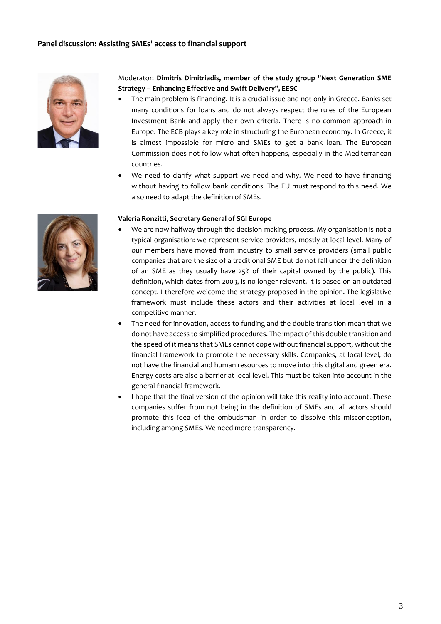

### Moderator: **Dimitris Dimitriadis, member of the study group "Next Generation SME Strategy – Enhancing Effective and Swift Delivery", EESC**

- The main problem is financing. It is a crucial issue and not only in Greece. Banks set many conditions for loans and do not always respect the rules of the European Investment Bank and apply their own criteria. There is no common approach in Europe. The ECB plays a key role in structuring the European economy. In Greece, it is almost impossible for micro and SMEs to get a bank loan. The European Commission does not follow what often happens, especially in the Mediterranean countries.
- We need to clarify what support we need and why. We need to have financing without having to follow bank conditions. The EU must respond to this need. We also need to adapt the definition of SMEs.

#### **Valeria Ronzitti, Secretary General of SGI Europe**

- We are now halfway through the decision-making process. My organisation is not a typical organisation: we represent service providers, mostly at local level. Many of our members have moved from industry to small service providers (small public companies that are the size of a traditional SME but do not fall under the definition of an SME as they usually have 25% of their capital owned by the public). This definition, which dates from 2003, is no longer relevant. It is based on an outdated concept. I therefore welcome the strategy proposed in the opinion. The legislative framework must include these actors and their activities at local level in a competitive manner.
- The need for innovation, access to funding and the double transition mean that we do not have access to simplified procedures. The impact of this double transition and the speed of it means that SMEs cannot cope without financial support, without the financial framework to promote the necessary skills. Companies, at local level, do not have the financial and human resources to move into this digital and green era. Energy costs are also a barrier at local level. This must be taken into account in the general financial framework.
- I hope that the final version of the opinion will take this reality into account. These companies suffer from not being in the definition of SMEs and all actors should promote this idea of the ombudsman in order to dissolve this misconception, including among SMEs. We need more transparency.

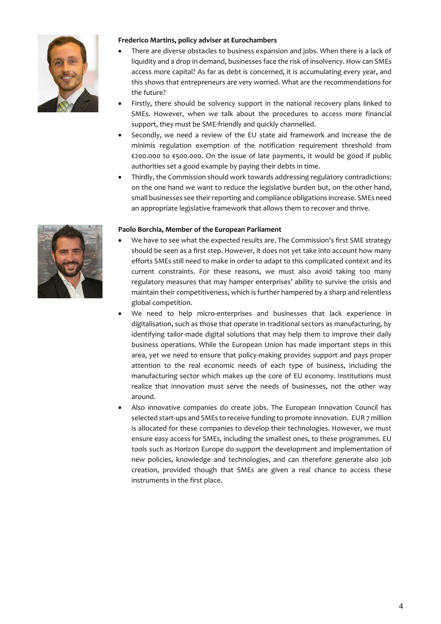

### **Frederico Martins, policy adviser at Eurochambers**

- There are diverse obstacles to business expansion and jobs. When there is a lack of liquidity and a drop in demand, businesses face the risk of insolvency. How can SMEs access more capital? As far as debt is concerned, it is accumulating every year, and this shows that entrepreneurs are very worried. What are the recommendations for the future?
- Firstly, there should be solvency support in the national recovery plans linked to SMEs. However, when we talk about the procedures to access more financial support, they must be SME-friendly and quickly channelled.
- Secondly, we need a review of the EU state aid framework and increase the de minimis regulation exemption of the notification requirement threshold from €200.000 to €500.000. On the issue of late payments, it would be good if public authorities set a good example by paying their debts in time.
- Thirdly, the Commission should work towards addressing regulatory contradictions: on the one hand we want to reduce the legislative burden but, on the other hand, small businesses see their reporting and compliance obligations increase. SMEs need an appropriate legislative framework that allows them to recover and thrive.

#### **Paolo Borchia, Member of the European Parliament**

- We have to see what the expected results are. The Commission's first SME strategy should be seen as a first step. However, it does not yet take into account how many efforts SMEs still need to make in order to adapt to this complicated context and its current constraints. For these reasons, we must also avoid taking too many regulatory measures that may hamper enterprises' ability to survive the crisis and maintain their competitiveness, which is further hampered by a sharp and relentless global competition.
- We need to help micro-enterprises and businesses that lack experience in digitalisation, such as those that operate in traditional sectors as manufacturing, by identifying tailor-made digital solutions that may help them to improve their daily business operations. While the European Union has made important steps in this area, yet we need to ensure that policy-making provides support and pays proper attention to the real economic needs of each type of business, including the manufacturing sector which makes up the core of EU economy. Institutions must realize that innovation must serve the needs of businesses, not the other way around.
- Also innovative companies do create jobs. The European Innovation Council has selected start-ups and SMEs to receive funding to promote innovation. EUR 7 million is allocated for these companies to develop their technologies. However, we must ensure easy access for SMEs, including the smallest ones, to these programmes. EU tools such as Horizon Europe do support the development and implementation of new policies, knowledge and technologies, and can therefore generate also job creation, provided though that SMEs are given a real chance to access these instruments in the first place.

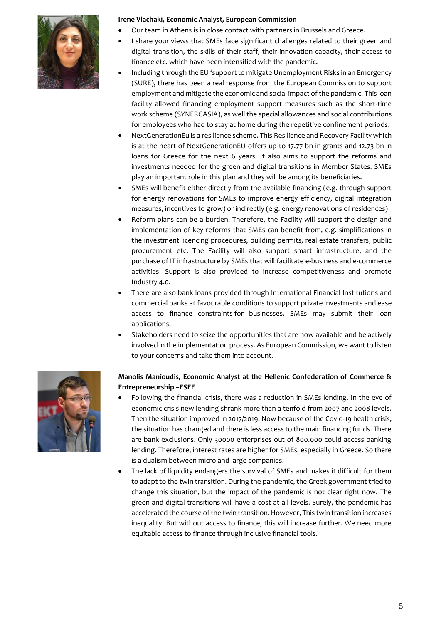

#### **Irene Vlachaki, Economic Analyst, European Commission**

- Our team in Athens is in close contact with partners in Brussels and Greece.
- I share your views that SMEs face significant challenges related to their green and digital transition, the skills of their staff, their innovation capacity, their access to finance etc. which have been intensified with the pandemic.
- Including through the EU 'support to mitigate Unemployment Risks in an Emergency (SURE), there has been a real response from the European Commission to support employment and mitigate the economic and social impact of the pandemic. This loan facility allowed financing employment support measures such as the short-time work scheme (SYNERGASIA), as well the special allowances and social contributions for employees who had to stay at home during the repetitive confinement periods.
- NextGenerationEu is a resilience scheme. This Resilience and Recovery Facility which is at the heart of NextGenerationEU offers up to 17.77 bn in grants and 12.73 bn in loans for Greece for the next 6 years. It also aims to support the reforms and investments needed for the green and digital transitions in Member States. SMEs play an important role in this plan and they will be among its beneficiaries.
- SMEs will benefit either directly from the available financing (e.g. through support for energy renovations for SMEs to improve energy efficiency, digital integration measures, incentives to grow) or indirectly (e.g. energy renovations of residences)
- Reform plans can be a burden. Therefore, the Facility will support the design and implementation of key reforms that SMEs can benefit from, e.g. simplifications in the investment licencing procedures, building permits, real estate transfers, public procurement etc. The Facility will also support smart infrastructure, and the purchase of IT infrastructure by SMEs that will facilitate e-business and e-commerce activities. Support is also provided to increase competitiveness and promote Industry 4.0.
- There are also bank loans provided through International Financial Institutions and commercial banks at favourable conditions to support private investments and ease access to finance constraints for businesses. SMEs may submit their loan applications.
- Stakeholders need to seize the opportunities that are now available and be actively involved in the implementation process. As European Commission, we want to listen to your concerns and take them into account.



# **Manolis Manioudis, Economic Analyst at the Hellenic Confederation of Commerce & Entrepreneurship –ESEE**

- Following the financial crisis, there was a reduction in SMEs lending. In the eve of economic crisis new lending shrank more than a tenfold from 2007 and 2008 levels. Then the situation improved in 2017/2019. Now because of the Covid-19 health crisis, the situation has changed and there is less access to the main financing funds. There are bank exclusions. Only 30000 enterprises out of 800.000 could access banking lending. Therefore, interest rates are higher for SMEs, especially in Greece. So there is a dualism between micro and large companies.
- The lack of liquidity endangers the survival of SMEs and makes it difficult for them to adapt to the twin transition. During the pandemic, the Greek government tried to change this situation, but the impact of the pandemic is not clear right now. The green and digital transitions will have a cost at all levels. Surely, the pandemic has accelerated the course of the twin transition. However, This twin transition increases inequality. But without access to finance, this will increase further. We need more equitable access to finance through inclusive financial tools.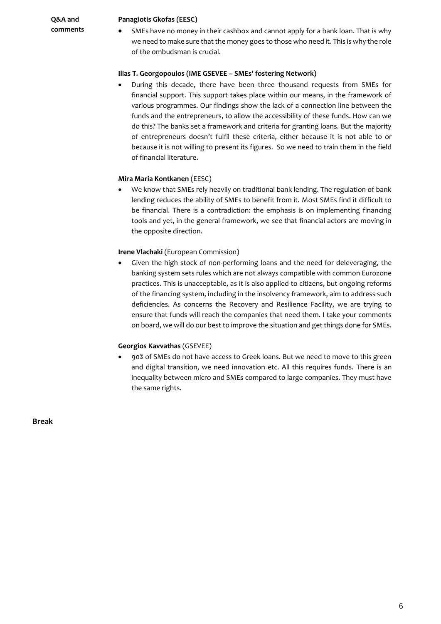**Q&A and comments**

#### **Panagiotis Gkofas (EESC)**

 SMEs have no money in their cashbox and cannot apply for a bank loan. That is why we need to make sure that the money goes to those who need it. This is why the role of the ombudsman is crucial.

#### **Ilias T. Georgopoulos (IME GSEVEE – SMEs' fostering Network)**

 During this decade, there have been three thousand requests from SMEs for financial support. This support takes place within our means, in the framework of various programmes. Our findings show the lack of a connection line between the funds and the entrepreneurs, to allow the accessibility of these funds. How can we do this? The banks set a framework and criteria for granting loans. But the majority of entrepreneurs doesn't fulfil these criteria, either because it is not able to or because it is not willing to present its figures. So we need to train them in the field of financial literature.

#### **Mira Maria Kontkanen** (EESC)

 We know that SMEs rely heavily on traditional bank lending. The regulation of bank lending reduces the ability of SMEs to benefit from it. Most SMEs find it difficult to be financial. There is a contradiction: the emphasis is on implementing financing tools and yet, in the general framework, we see that financial actors are moving in the opposite direction.

#### **Irene Vlachaki** (European Commission)

 Given the high stock of non-performing loans and the need for deleveraging, the banking system sets rules which are not always compatible with common Eurozone practices. This is unacceptable, as it is also applied to citizens, but ongoing reforms of the financing system, including in the insolvency framework, aim to address such deficiencies. As concerns the Recovery and Resilience Facility, we are trying to ensure that funds will reach the companies that need them. I take your comments on board, we will do our best to improve the situation and get things done for SMEs.

#### **Georgios Kavvathas** (GSEVEE)

 90% of SMEs do not have access to Greek loans. But we need to move to this green and digital transition, we need innovation etc. All this requires funds. There is an inequality between micro and SMEs compared to large companies. They must have the same rights.

**Break**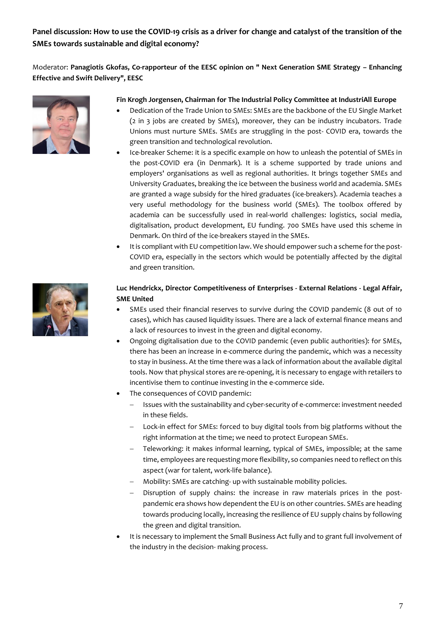# **Panel discussion: How to use the COVID-19 crisis as a driver for change and catalyst of the transition of the SMEs towards sustainable and digital economy?**

Moderator: **Panagiotis Gkofas, Co-rapporteur of the EESC opinion on " Next Generation SME Strategy – Enhancing Effective and Swift Delivery", EESC**



### **Fin Krogh Jorgensen, Chairman for The Industrial Policy Committee at IndustriAll Europe**

- Dedication of the Trade Union to SMEs: SMEs are the backbone of the EU Single Market (2 in 3 jobs are created by SMEs), moreover, they can be industry incubators. Trade Unions must nurture SMEs. SMEs are struggling in the post- COVID era, towards the green transition and technological revolution.
- Ice-breaker Scheme: it is a specific example on how to unleash the potential of SMEs in the post-COVID era (in Denmark). It is a scheme supported by trade unions and employers' organisations as well as regional authorities. It brings together SMEs and University Graduates, breaking the ice between the business world and academia. SMEs are granted a wage subsidy for the hired graduates (ice-breakers). Academia teaches a very useful methodology for the business world (SMEs). The toolbox offered by academia can be successfully used in real-world challenges: logistics, social media, digitalisation, product development, EU funding. 700 SMEs have used this scheme in Denmark. On third of the ice-breakers stayed in the SMEs.
- It is compliant with EU competition law. We should empower such a scheme for the post-COVID era, especially in the sectors which would be potentially affected by the digital and green transition.



### **Luc Hendrickx, Director Competitiveness of Enterprises - External Relations - Legal Affair, SME United**

- SMEs used their financial reserves to survive during the COVID pandemic (8 out of 10 cases), which has caused liquidity issues. There are a lack of external finance means and a lack of resources to invest in the green and digital economy.
- Ongoing digitalisation due to the COVID pandemic (even public authorities): for SMEs, there has been an increase in e-commerce during the pandemic, which was a necessity to stay in business. At the time there was a lack of information about the available digital tools. Now that physical stores are re-opening, it is necessary to engage with retailers to incentivise them to continue investing in the e-commerce side.
- The consequences of COVID pandemic:
	- Issues with the sustainability and cyber-security of e-commerce: investment needed in these fields.
	- Lock-in effect for SMEs: forced to buy digital tools from big platforms without the right information at the time; we need to protect European SMEs.
	- Teleworking: it makes informal learning, typical of SMEs, impossible; at the same time, employees are requesting more flexibility, so companies need to reflect on this aspect (war for talent, work-life balance).
	- Mobility: SMEs are catching- up with sustainable mobility policies.
	- Disruption of supply chains: the increase in raw materials prices in the postpandemic era shows how dependent the EU is on other countries. SMEs are heading towards producing locally, increasing the resilience of EU supply chains by following the green and digital transition.
- It is necessary to implement the Small Business Act fully and to grant full involvement of the industry in the decision- making process.